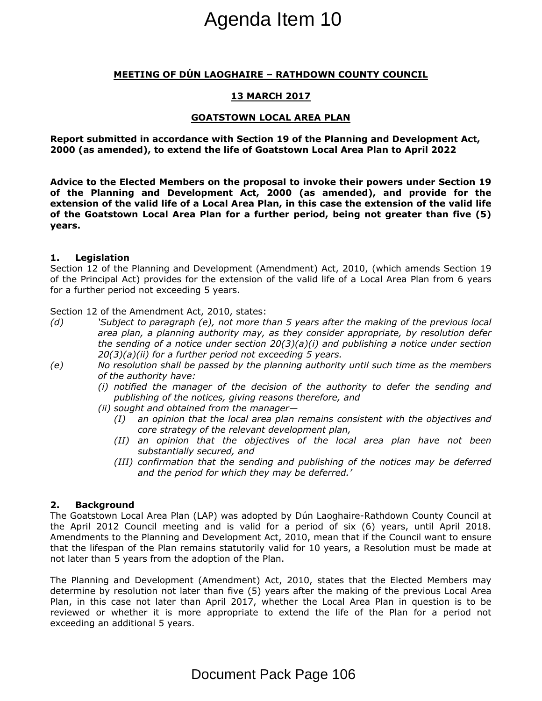# **MEETING OF DÚN LAOGHAIRE – RATHDOWN COUNTY COUNCIL**

# **13 MARCH 2017**

### **GOATSTOWN LOCAL AREA PLAN**

**Report submitted in accordance with Section 19 of the Planning and Development Act, 2000 (as amended), to extend the life of Goatstown Local Area Plan to April 2022**

**Advice to the Elected Members on the proposal to invoke their powers under Section 19 of the Planning and Development Act, 2000 (as amended), and provide for the** extension of the valid life of a Local Area Plan, in this case the extension of the valid life **of the Goatstown Local Area Plan for a further period, being not greater than five (5) years.**

#### **1. Legislation**

Section 12 of the Planning and Development (Amendment) Act, 2010, (which amends Section 19 of the Principal Act) provides for the extension of the valid life of a Local Area Plan from 6 years for a further period not exceeding 5 years.

Section 12 of the Amendment Act, 2010, states:

- *(d) 'Subject to paragraph (e), not more than 5 years after the making of the previous local area plan, a planning authority may, as they consider appropriate, by resolution defer the sending of a notice under section 20(3)(a)(i) and publishing a notice under section 20(3)(a)(ii) for a further period not exceeding 5 years.*
- *(e) No resolution shall be passed by the planning authority until such time as the members of the authority have:*
	- *(i) notified the manager of the decision of the authority to defer the sending and publishing of the notices, giving reasons therefore, and*
	- *(ii) sought and obtained from the manager—*
		- *(I) an opinion that the local area plan remains consistent with the objectives and core strategy of the relevant development plan,*
		- *(II) an opinion that the objectives of the local area plan have not been substantially secured, and*
		- *(III) confirmation that the sending and publishing of the notices may be deferred and the period for which they may be deferred.'*

# **2. Background**

The Goatstown Local Area Plan (LAP) was adopted by Dún Laoghaire-Rathdown County Council at the April 2012 Council meeting and is valid for a period of six (6) years, until April 2018. Amendments to the Planning and Development Act, 2010, mean that if the Council want to ensure that the lifespan of the Plan remains statutorily valid for 10 years, a Resolution must be made at not later than 5 years from the adoption of the Plan. **Agenda Item 10**<br> **In LAOGHAIRE – RATHDOWN COL**<br> **IS MARCH 2017**<br> **GOATSTOWN LOCAL AREA PLAN**<br> **nce with Section 19 of the Planni**<br> **ond the life of Goatstown Local Are**<br> **a Local Area Plann, in this case the loperation A** 

The Planning and Development (Amendment) Act, 2010, states that the Elected Members may determine by resolution not later than five (5) years after the making of the previous Local Area Plan, in this case not later than April 2017, whether the Local Area Plan in question is to be reviewed or whether it is more appropriate to extend the life of the Plan for a period not exceeding an additional 5 years.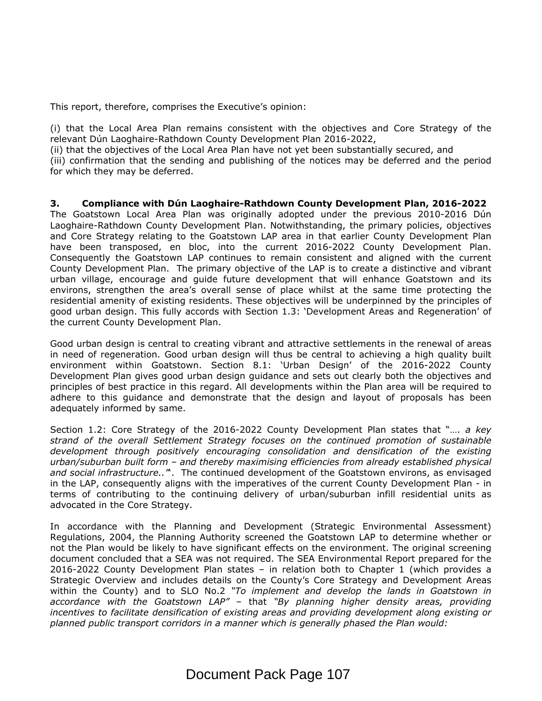This report, therefore, comprises the Executive's opinion:

(i) that the Local Area Plan remains consistent with the objectives and Core Strategy of the relevant Dún Laoghaire-Rathdown County Development Plan 2016-2022,

(ii) that the objectives of the Local Area Plan have not yet been substantially secured, and

(iii) confirmation that the sending and publishing of the notices may be deferred and the period for which they may be deferred.

**3. Compliance with Dún Laoghaire-Rathdown County Development Plan, 2016-2022** The Goatstown Local Area Plan was originally adopted under the previous 2010-2016 Dún Laoghaire-Rathdown County Development Plan. Notwithstanding, the primary policies, objectives and Core Strategy relating to the Goatstown LAP area in that earlier County Development Plan have been transposed, en bloc, into the current 2016-2022 County Development Plan. Consequently the Goatstown LAP continues to remain consistent and aligned with the current County Development Plan. The primary objective of the LAP is to create a distinctive and vibrant urban village, encourage and guide future development that will enhance Goatstown and its environs, strengthen the area's overall sense of place whilst at the same time protecting the residential amenity of existing residents. These objectives will be underpinned by the principles of good urban design. This fully accords with Section 1.3: 'Development Areas and Regeneration' of the current County Development Plan.

Good urban design is central to creating vibrant and attractive settlements in the renewal of areas in need of regeneration. Good urban design will thus be central to achieving a high quality built environment within Goatstown. Section 8.1: 'Urban Design' of the 2016-2022 County Development Plan gives good urban design guidance and sets out clearly both the objectives and principles of best practice in this regard. All developments within the Plan area will be required to adhere to this guidance and demonstrate that the design and layout of proposals has been adequately informed by same.

Section 1.2: Core Strategy of the 2016-2022 County Development Plan states that "…. *a key strand of the overall Settlement Strategy focuses on the continued promotion of sustainable development through positively encouraging consolidation and densification of the existing urban/suburban built form – and thereby maximising efficiencies from already established physical and social infrastructure.."*'. The continued development of the Goatstown environs, as envisaged in the LAP, consequently aligns with the imperatives of the current County Development Plan - in terms of contributing to the continuing delivery of urban/suburban infill residential units as advocated in the Core Strategy.

In accordance with the Planning and Development (Strategic Environmental Assessment) Regulations, 2004, the Planning Authority screened the Goatstown LAP to determine whether or not the Plan would be likely to have significant effects on the environment. The original screening document concluded that a SEA was not required. The SEA Environmental Report prepared for the 2016-2022 County Development Plan states – in relation both to Chapter 1 (which provides a Strategic Overview and includes details on the County's Core Strategy and Development Areas within the County) and to SLO No.2 *"To implement and develop the lands in Goatstown in accordance with the Goatstown LAP"* – that *"By planning higher density areas, providing incentives to facilitate densification of existing areas and providing development along existing or planned public transport corridors in a manner which is generally phased the Plan would:*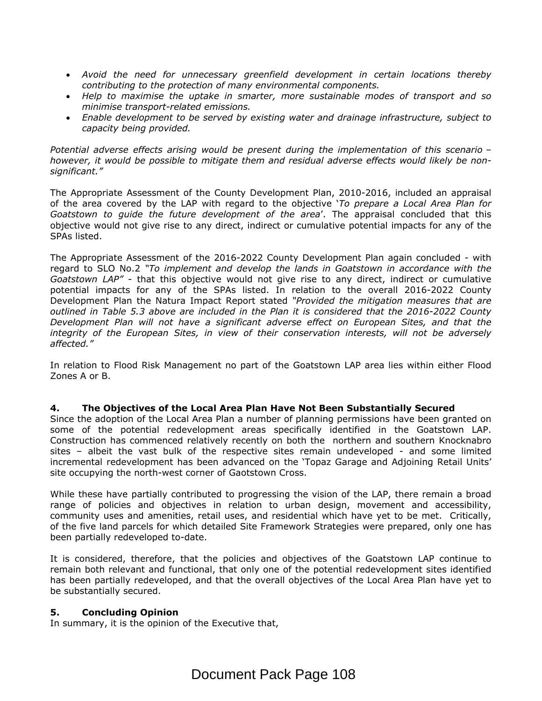- *Avoid the need for unnecessary greenfield development in certain locations thereby contributing to the protection of many environmental components.*
- *Help to maximise the uptake in smarter, more sustainable modes of transport and so minimise transport-related emissions.*
- *Enable development to be served by existing water and drainage infrastructure, subject to capacity being provided.*

*Potential adverse effects arising would be present during the implementation of this scenario – however, it would be possible to mitigate them and residual adverse effects would likely be nonsignificant."*

The Appropriate Assessment of the County Development Plan, 2010-2016, included an appraisal of the area covered by the LAP with regard to the objective '*To prepare a Local Area Plan for Goatstown to guide the future development of the area*'. The appraisal concluded that this objective would not give rise to any direct, indirect or cumulative potential impacts for any of the SPAs listed.

The Appropriate Assessment of the 2016-2022 County Development Plan again concluded - with regard to SLO No.2 *"To implement and develop the lands in Goatstown in accordance with the Goatstown LAP"* - that this objective would not give rise to any direct, indirect or cumulative potential impacts for any of the SPAs listed. In relation to the overall 2016-2022 County Development Plan the Natura Impact Report stated *"Provided the mitigation measures that are outlined in Table 5.3 above are included in the Plan it is considered that the 2016-2022 County Development Plan will not have a significant adverse effect on European Sites, and that the integrity of the European Sites, in view of their conservation interests, will not be adversely affected."*

In relation to Flood Risk Management no part of the Goatstown LAP area lies within either Flood Zones A or B.

# **4. The Objectives of the Local Area Plan Have Not Been Substantially Secured**

Since the adoption of the Local Area Plan a number of planning permissions have been granted on some of the potential redevelopment areas specifically identified in the Goatstown LAP. Construction has commenced relatively recently on both the northern and southern Knocknabro sites – albeit the vast bulk of the respective sites remain undeveloped - and some limited incremental redevelopment has been advanced on the 'Topaz Garage and Adjoining Retail Units' site occupying the north-west corner of Gaotstown Cross.

While these have partially contributed to progressing the vision of the LAP, there remain a broad range of policies and objectives in relation to urban design, movement and accessibility, community uses and amenities, retail uses, and residential which have yet to be met. Critically, of the five land parcels for which detailed Site Framework Strategies were prepared, only one has been partially redeveloped to-date.

It is considered, therefore, that the policies and objectives of the Goatstown LAP continue to remain both relevant and functional, that only one of the potential redevelopment sites identified has been partially redeveloped, and that the overall objectives of the Local Area Plan have yet to be substantially secured.

# **5. Concluding Opinion**

In summary, it is the opinion of the Executive that,